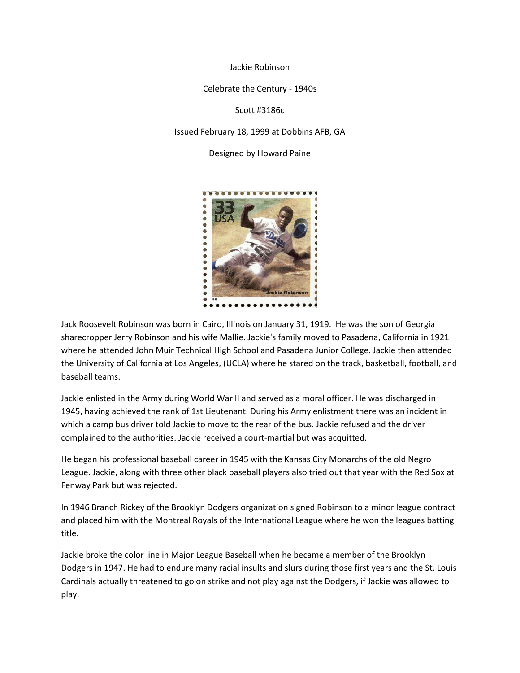Jackie Robinson

Celebrate the Century - 1940s

Scott #3186c

Issued February 18, 1999 at Dobbins AFB, GA

Designed by Howard Paine



Jack Roosevelt Robinson was born in Cairo, Illinois on January 31, 1919. He was the son of Georgia sharecropper Jerry Robinson and his wife Mallie. Jackie's family moved to Pasadena, California in 1921 where he attended John Muir Technical High School and Pasadena Junior College. Jackie then attended the University of California at Los Angeles, (UCLA) where he stared on the track, basketball, football, and baseball teams.

Jackie enlisted in the Army during World War II and served as a moral officer. He was discharged in 1945, having achieved the rank of 1st Lieutenant. During his Army enlistment there was an incident in which a camp bus driver told Jackie to move to the rear of the bus. Jackie refused and the driver complained to the authorities. Jackie received a court-martial but was acquitted.

He began his professional baseball career in 1945 with the Kansas City Monarchs of the old Negro League. Jackie, along with three other black baseball players also tried out that year with the Red Sox at Fenway Park but was rejected.

In 1946 Branch Rickey of the Brooklyn Dodgers organization signed Robinson to a minor league contract and placed him with the Montreal Royals of the International League where he won the leagues batting title.

Jackie broke the color line in Major League Baseball when he became a member of the Brooklyn Dodgers in 1947. He had to endure many racial insults and slurs during those first years and the St. Louis Cardinals actually threatened to go on strike and not play against the Dodgers, if Jackie was allowed to play.